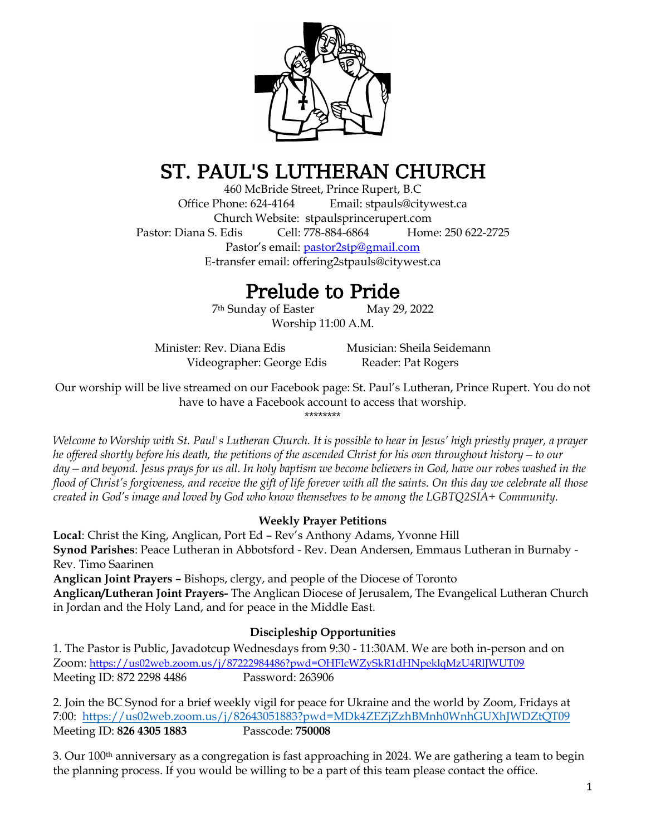

# ST. PAUL'S LUTHERAN CHURCH

460 McBride Street, Prince Rupert, B.C Office Phone: 624-4164 Email: stpauls@citywest.ca Church Website: stpaulsprincerupert.com Pastor: Diana S. Edis Cell: 778-884-6864 Home: 250 622-2725 Pastor's email: [pastor2stp@gmail.com](mailto:pastor2stp@gmail.com) E-transfer email: [offering2stpauls@citywest.ca](mailto:offering2stpauls@citywest.ca)

# Prelude to Pride

7th Sunday of EasterMay 29, 2022 Worship 11:00 A.M.

Minister: Rev. Diana Edis Musician: Sheila Seidemann Videographer: George Edis Reader: Pat Rogers

Our worship will be live streamed on our Facebook page: St. Paul's Lutheran, Prince Rupert. You do not have to have a Facebook account to access that worship. \*\*\*\*\*\*\*\*

*Welcome to Worship with St. Paul's Lutheran Church. It is possible to hear in Jesus' high priestly prayer, a prayer he offered shortly before his death, the petitions of the ascended Christ for his own throughout history—to our day—and beyond. Jesus prays for us all. In holy baptism we become believers in God, have our robes washed in the flood of Christ's forgiveness, and receive the gift of life forever with all the saints. On this day we celebrate all those created in God's image and loved by God who know themselves to be among the LGBTQ2SIA+ Community.* 

# **Weekly Prayer Petitions**

**Local**: Christ the King, Anglican, Port Ed – Rev's Anthony Adams, Yvonne Hill **Synod Parishes**: Peace Lutheran in Abbotsford - Rev. Dean Andersen, Emmaus Lutheran in Burnaby - Rev. Timo Saarinen

**Anglican Joint Prayers –** Bishops, clergy, and people of the Diocese of Toronto

**Anglican/Lutheran Joint Prayers-** The Anglican Diocese of Jerusalem, The Evangelical Lutheran Church in Jordan and the Holy Land, and for peace in the Middle East.

# **Discipleship Opportunities**

1. The Pastor is Public, Javadotcup Wednesdays from 9:30 - 11:30AM. We are both in-person and on Zoom: <https://us02web.zoom.us/j/87222984486?pwd=OHFIcWZySkR1dHNpeklqMzU4RlJWUT09> Meeting ID: 872 2298 4486 Password: 263906

2. Join the BC Synod for a brief weekly vigil for peace for Ukraine and the world by Zoom, Fridays at 7:00: [https://us02web.zoom.us/j/82643051883?pwd=MDk4ZEZjZzhBMnh0WnhGUXhJWDZtQT09](https://bcsynod.us19.list-manage.com/track/click?u=fb2b333d899bcb82b66768ea0&id=4c8d60c0ef&e=e008369c54) Meeting ID: **826 4305 1883** Passcode: **750008**

3. Our 100th anniversary as a congregation is fast approaching in 2024. We are gathering a team to begin the planning process. If you would be willing to be a part of this team please contact the office.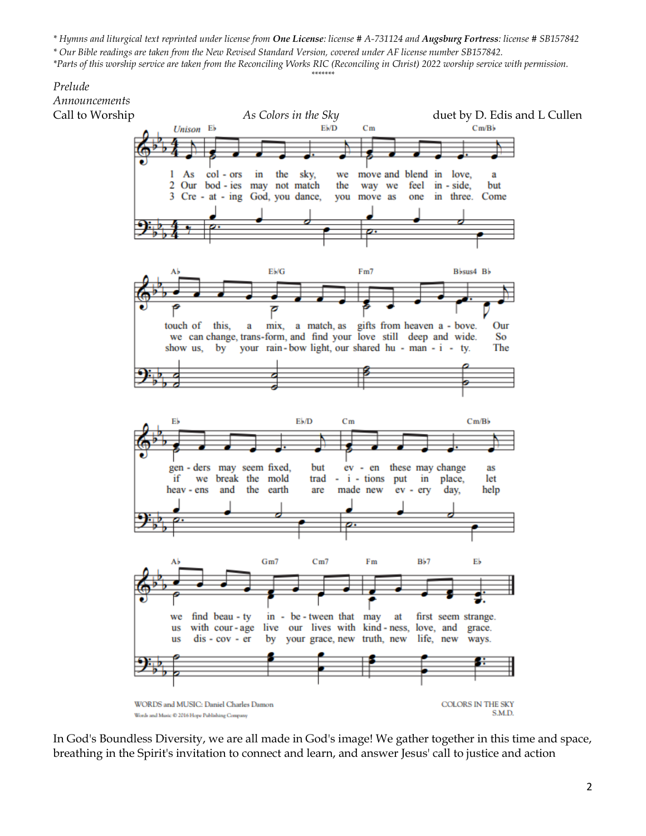*\* Hymns and liturgical text reprinted under license from One License: license # A-731124 and Augsburg Fortress: license # SB157842 \* Our Bible readings are taken from the New Revised Standard Version, covered under AF license number SB157842. \*Parts of this worship service are taken from the Reconciling Works RIC (Reconciling in Christ) 2022 worship service with permission.*

*\*\*\*\*\*\*\**

# *Prelude Announcements*



In God's Boundless Diversity, we are all made in God's image! We gather together in this time and space, breathing in the Spirit's invitation to connect and learn, and answer Jesus' call to justice and action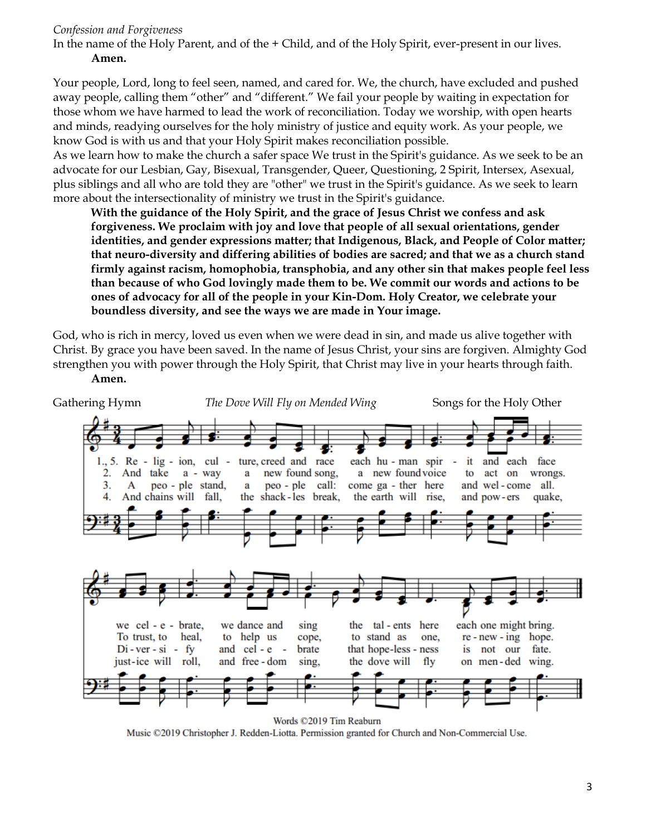#### *Confession and Forgiveness*

In the name of the Holy Parent, and of the + Child, and of the Holy Spirit, ever-present in our lives.

#### **Amen.**

Your people, Lord, long to feel seen, named, and cared for. We, the church, have excluded and pushed away people, calling them "other" and "different." We fail your people by waiting in expectation for those whom we have harmed to lead the work of reconciliation. Today we worship, with open hearts and minds, readying ourselves for the holy ministry of justice and equity work. As your people, we know God is with us and that your Holy Spirit makes reconciliation possible.

As we learn how to make the church a safer space We trust in the Spirit's guidance. As we seek to be an advocate for our Lesbian, Gay, Bisexual, Transgender, Queer, Questioning, 2 Spirit, Intersex, Asexual, plus siblings and all who are told they are "other" we trust in the Spirit's guidance. As we seek to learn more about the intersectionality of ministry we trust in the Spirit's guidance.

**With the guidance of the Holy Spirit, and the grace of Jesus Christ we confess and ask forgiveness. We proclaim with joy and love that people of all sexual orientations, gender identities, and gender expressions matter; that Indigenous, Black, and People of Color matter; that neuro-diversity and differing abilities of bodies are sacred; and that we as a church stand firmly against racism, homophobia, transphobia, and any other sin that makes people feel less than because of who God lovingly made them to be. We commit our words and actions to be ones of advocacy for all of the people in your Kin-Dom. Holy Creator, we celebrate your boundless diversity, and see the ways we are made in Your image.** 

God, who is rich in mercy, loved us even when we were dead in sin, and made us alive together with Christ. By grace you have been saved. In the name of Jesus Christ, your sins are forgiven. Almighty God strengthen you with power through the Holy Spirit, that Christ may live in your hearts through faith. **Amen.**



Words ©2019 Tim Reaburn

Music ©2019 Christopher J. Redden-Liotta. Permission granted for Church and Non-Commercial Use.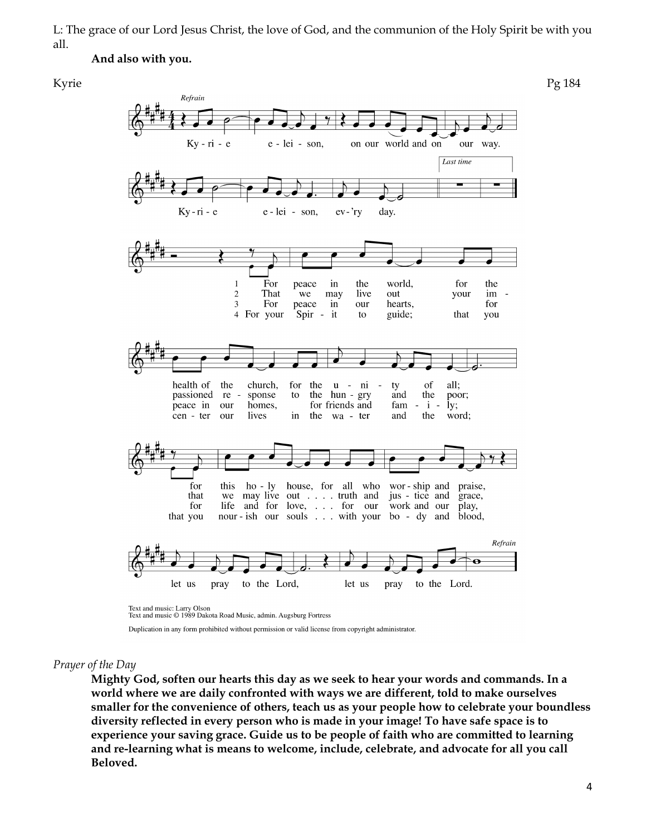L: The grace of our Lord Jesus Christ, the love of God, and the communion of the Holy Spirit be with you all.

#### **And also with you.**



#### *Prayer of the Day*

**Mighty God, soften our hearts this day as we seek to hear your words and commands. In a world where we are daily confronted with ways we are different, told to make ourselves smaller for the convenience of others, teach us as your people how to celebrate your boundless diversity reflected in every person who is made in your image! To have safe space is to experience your saving grace. Guide us to be people of faith who are committed to learning and re-learning what is means to welcome, include, celebrate, and advocate for all you call Beloved.**

Duplication in any form prohibited without permission or valid license from copyright administrator.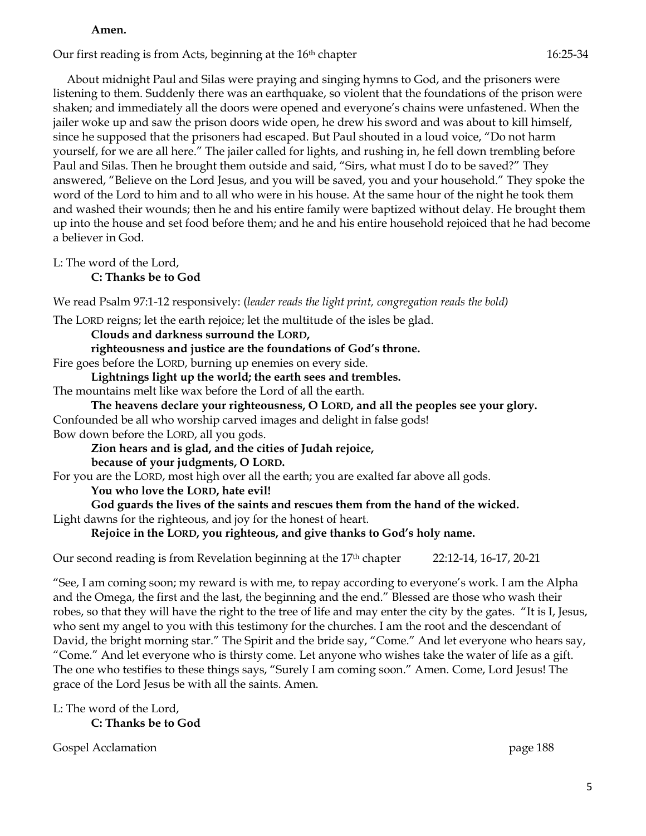#### **Amen.**

Our first reading is from Acts, beginning at the 16<sup>th</sup> chapter 16:25-34

About midnight Paul and Silas were praying and singing hymns to God, and the prisoners were listening to them. Suddenly there was an earthquake, so violent that the foundations of the prison were shaken; and immediately all the doors were opened and everyone's chains were unfastened. When the jailer woke up and saw the prison doors wide open, he drew his sword and was about to kill himself, since he supposed that the prisoners had escaped. But Paul shouted in a loud voice, "Do not harm yourself, for we are all here." The jailer called for lights, and rushing in, he fell down trembling before Paul and Silas. Then he brought them outside and said, "Sirs, what must I do to be saved?" They answered, "Believe on the Lord Jesus, and you will be saved, you and your household." They spoke the word of the Lord to him and to all who were in his house. At the same hour of the night he took them and washed their wounds; then he and his entire family were baptized without delay. He brought them up into the house and set food before them; and he and his entire household rejoiced that he had become a believer in God.

L: The word of the Lord,

**C: Thanks be to God**

We read Psalm 97:1-12 responsively: (*leader reads the light print, congregation reads the bold)*

The LORD reigns; let the earth rejoice; let the multitude of the isles be glad.

**Clouds and darkness surround the LORD,**

**righteousness and justice are the foundations of God's throne.** Fire goes before the LORD, burning up enemies on every side.

**Lightnings light up the world; the earth sees and trembles.**

The mountains melt like wax before the Lord of all the earth.

**The heavens declare your righteousness, O LORD, and all the peoples see your glory.** Confounded be all who worship carved images and delight in false gods! Bow down before the LORD, all you gods.

**Zion hears and is glad, and the cities of Judah rejoice,**

**because of your judgments, O LORD.**

For you are the LORD, most high over all the earth; you are exalted far above all gods.

**You who love the LORD, hate evil!**

**God guards the lives of the saints and rescues them from the hand of the wicked.**

Light dawns for the righteous, and joy for the honest of heart.

**Rejoice in the LORD, you righteous, and give thanks to God's holy name.**

Our second reading is from Revelation beginning at the 17<sup>th</sup> chapter 22:12-14, 16-17, 20-21

"See, I am coming soon; my reward is with me, to repay according to everyone's work. I am the Alpha and the Omega, the first and the last, the beginning and the end." Blessed are those who wash their robes, so that they will have the right to the tree of life and may enter the city by the gates. "It is I, Jesus, who sent my angel to you with this testimony for the churches. I am the root and the descendant of David, the bright morning star." The Spirit and the bride say, "Come." And let everyone who hears say, "Come." And let everyone who is thirsty come. Let anyone who wishes take the water of life as a gift. The one who testifies to these things says, "Surely I am coming soon." Amen. Come, Lord Jesus! The grace of the Lord Jesus be with all the saints. Amen.

L: The word of the Lord, **C: Thanks be to God**

Gospel Acclamation **page 188**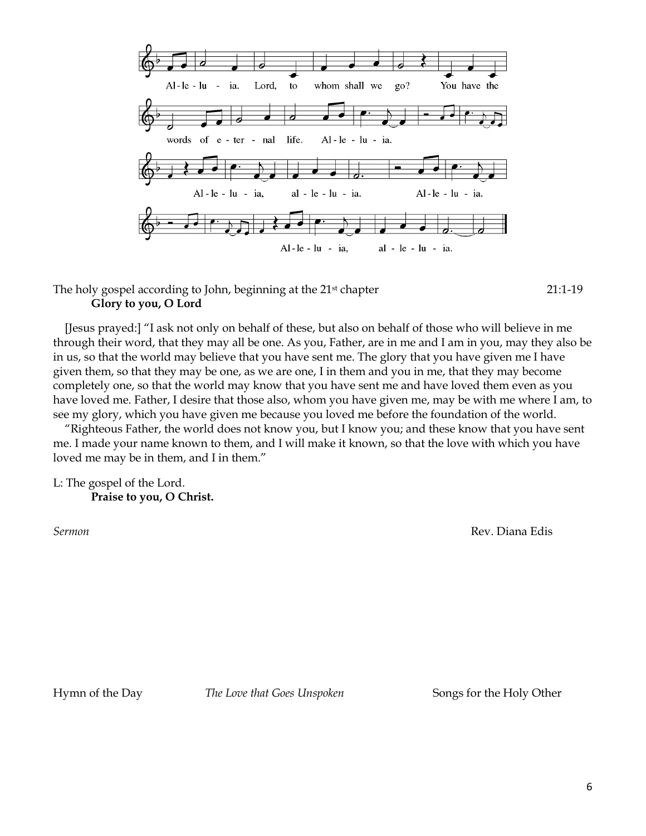

The holy gospel according to John, beginning at the 21<sup>st</sup> chapter 21:1-19 **Glory to you, O Lord**

[Jesus prayed:] "I ask not only on behalf of these, but also on behalf of those who will believe in me through their word, that they may all be one. As you, Father, are in me and I am in you, may they also be in us, so that the world may believe that you have sent me. The glory that you have given me I have given them, so that they may be one, as we are one, I in them and you in me, that they may become completely one, so that the world may know that you have sent me and have loved them even as you have loved me. Father, I desire that those also, whom you have given me, may be with me where I am, to see my glory, which you have given me because you loved me before the foundation of the world.

"Righteous Father, the world does not know you, but I know you; and these know that you have sent me. I made your name known to them, and I will make it known, so that the love with which you have loved me may be in them, and I in them."

L: The gospel of the Lord. **Praise to you, O Christ.**

*Sermon* Rev. Diana Edis

Hymn of the Day *The Love that Goes Unspoken* Songs for the Holy Other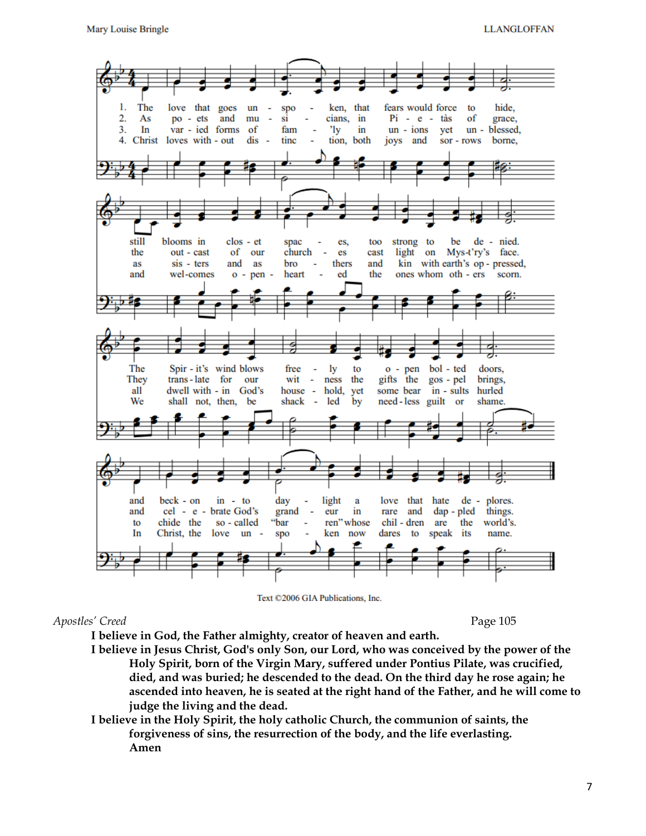

Text ©2006 GIA Publications, Inc.

*Apostles' Creed* Page 105

- **I believe in God, the Father almighty, creator of heaven and earth.**
- **I believe in Jesus Christ, God's only Son, our Lord, who was conceived by the power of the Holy Spirit, born of the Virgin Mary, suffered under Pontius Pilate, was crucified, died, and was buried; he descended to the dead. On the third day he rose again; he ascended into heaven, he is seated at the right hand of the Father, and he will come to judge the living and the dead.**
- **I believe in the Holy Spirit, the holy catholic Church, the communion of saints, the forgiveness of sins, the resurrection of the body, and the life everlasting. Amen**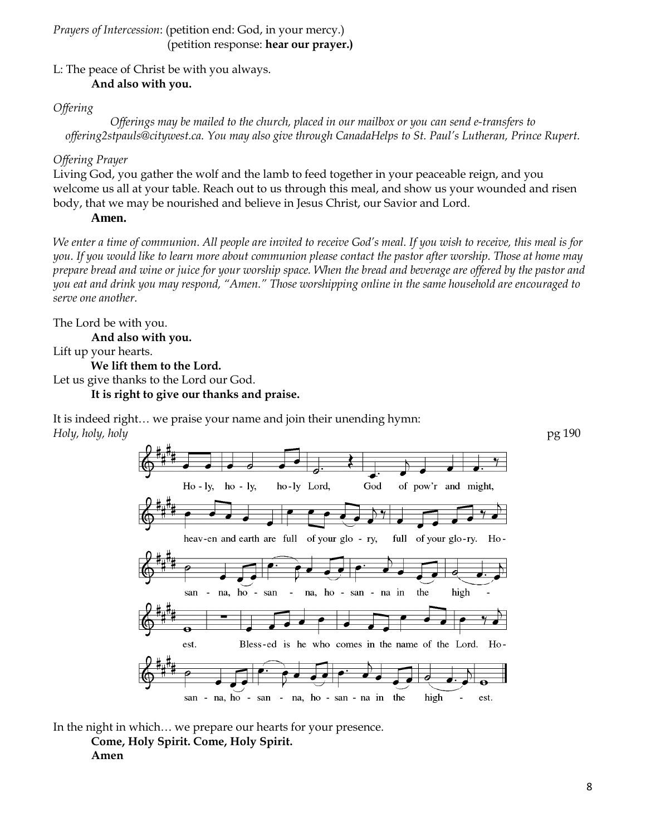#### *Prayers of Intercession*: (petition end: God, in your mercy.) (petition response: **hear our prayer.)**

### L: The peace of Christ be with you always. **And also with you.**

## *Offering*

*Offerings may be mailed to the church, placed in our mailbox or you can send e-transfers to offering2stpauls@citywest.ca. You may also give through CanadaHelps to St. Paul's Lutheran, Prince Rupert.*

## *Offering Prayer*

Living God, you gather the wolf and the lamb to feed together in your peaceable reign, and you welcome us all at your table. Reach out to us through this meal, and show us your wounded and risen body, that we may be nourished and believe in Jesus Christ, our Savior and Lord.

### **Amen.**

*We enter a time of communion. All people are invited to receive God's meal. If you wish to receive, this meal is for you. If you would like to learn more about communion please contact the pastor after worship. Those at home may prepare bread and wine or juice for your worship space. When the bread and beverage are offered by the pastor and you eat and drink you may respond, "Amen." Those worshipping online in the same household are encouraged to serve one another.* 

The Lord be with you. **And also with you.** Lift up your hearts. **We lift them to the Lord.** Let us give thanks to the Lord our God. **It is right to give our thanks and praise.**

*Holy, holy, holy* pg 190  $Ho - ly$ , ho - ly, ho-ly Lord, God of pow'r and might, heav-en and earth are full of your glo - ry, full of your glo-ry.  $Ho$ na, ho san na, ho - san - na in the high san est. Bless-ed is he who comes in the name of the Lord. Ho $san - na, ho - san$ - na, ho - san - na in the high est.

It is indeed right… we praise your name and join their unending hymn:

In the night in which… we prepare our hearts for your presence.

**Come, Holy Spirit. Come, Holy Spirit. Amen**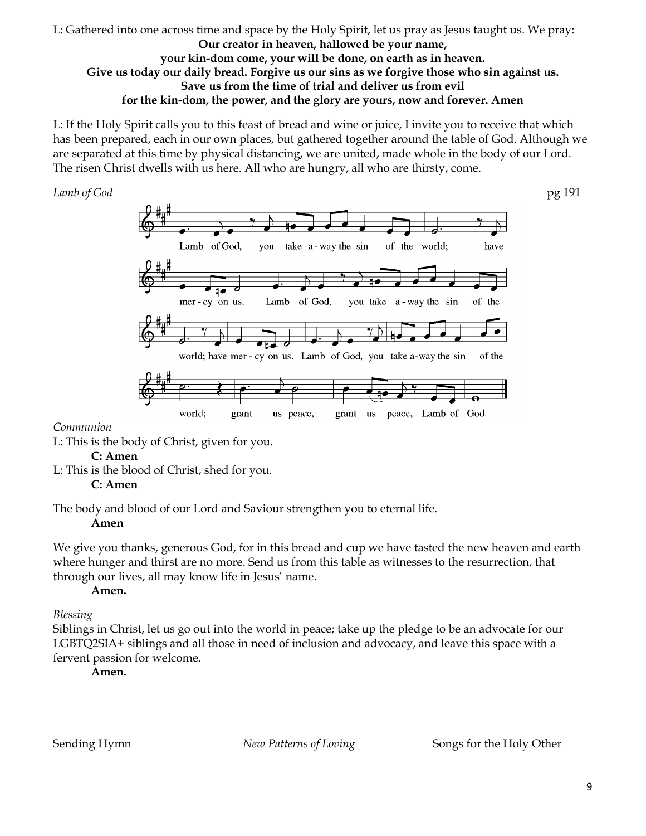#### L: Gathered into one across time and space by the Holy Spirit, let us pray as Jesus taught us. We pray: **Our creator in heaven, hallowed be your name, your kin-dom come, your will be done, on earth as in heaven. Give us today our daily bread. Forgive us our sins as we forgive those who sin against us. Save us from the time of trial and deliver us from evil for the kin-dom, the power, and the glory are yours, now and forever. Amen**

L: If the Holy Spirit calls you to this feast of bread and wine or juice, I invite you to receive that which has been prepared, each in our own places, but gathered together around the table of God. Although we are separated at this time by physical distancing, we are united, made whole in the body of our Lord. The risen Christ dwells with us here. All who are hungry, all who are thirsty, come.

![](_page_8_Figure_3.jpeg)

#### *Communion*

L: This is the body of Christ, given for you.

#### **C: Amen**

L: This is the blood of Christ, shed for you.

### **C: Amen**

The body and blood of our Lord and Saviour strengthen you to eternal life.

#### **Amen**

We give you thanks, generous God, for in this bread and cup we have tasted the new heaven and earth where hunger and thirst are no more. Send us from this table as witnesses to the resurrection, that through our lives, all may know life in Jesus' name.

### **Amen.**

### *Blessing*

Siblings in Christ, let us go out into the world in peace; take up the pledge to be an advocate for our LGBTQ2SIA+ siblings and all those in need of inclusion and advocacy, and leave this space with a fervent passion for welcome.

**Amen.**

Sending Hymn *New Patterns of Loving* Songs for the Holy Other